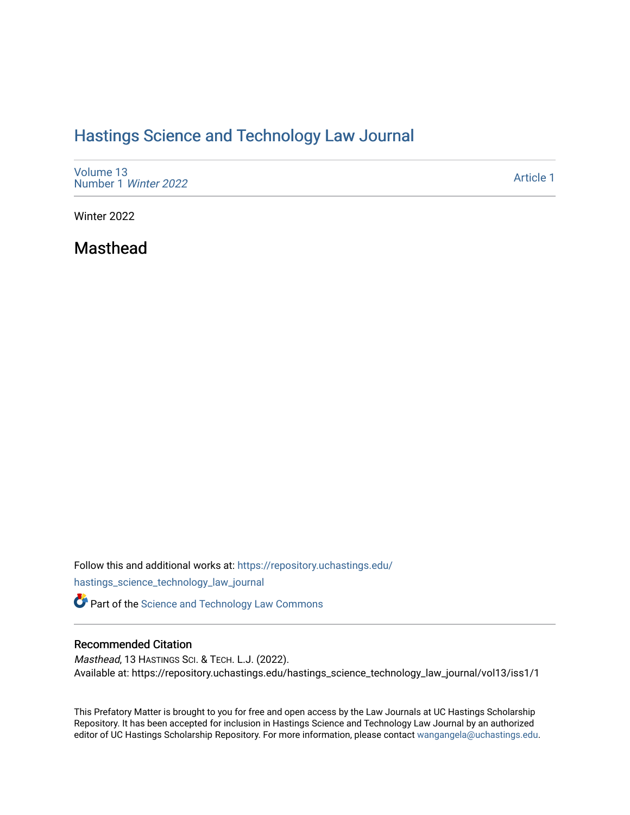# [Hastings Science and Technology Law Journal](https://repository.uchastings.edu/hastings_science_technology_law_journal)

| Volume 13<br>Number 1 Winter 2022 | <b>Article 1</b> |
|-----------------------------------|------------------|
|-----------------------------------|------------------|

Winter 2022

Masthead

Follow this and additional works at: [https://repository.uchastings.edu/](https://repository.uchastings.edu/hastings_science_technology_law_journal?utm_source=repository.uchastings.edu%2Fhastings_science_technology_law_journal%2Fvol13%2Fiss1%2F1&utm_medium=PDF&utm_campaign=PDFCoverPages) [hastings\\_science\\_technology\\_law\\_journal](https://repository.uchastings.edu/hastings_science_technology_law_journal?utm_source=repository.uchastings.edu%2Fhastings_science_technology_law_journal%2Fvol13%2Fiss1%2F1&utm_medium=PDF&utm_campaign=PDFCoverPages) 

**Part of the [Science and Technology Law Commons](http://network.bepress.com/hgg/discipline/875?utm_source=repository.uchastings.edu%2Fhastings_science_technology_law_journal%2Fvol13%2Fiss1%2F1&utm_medium=PDF&utm_campaign=PDFCoverPages)** 

## Recommended Citation

Masthead, 13 HASTINGS SCI. & TECH. L.J. (2022). Available at: https://repository.uchastings.edu/hastings\_science\_technology\_law\_journal/vol13/iss1/1

This Prefatory Matter is brought to you for free and open access by the Law Journals at UC Hastings Scholarship Repository. It has been accepted for inclusion in Hastings Science and Technology Law Journal by an authorized editor of UC Hastings Scholarship Repository. For more information, please contact [wangangela@uchastings.edu](mailto:wangangela@uchastings.edu).